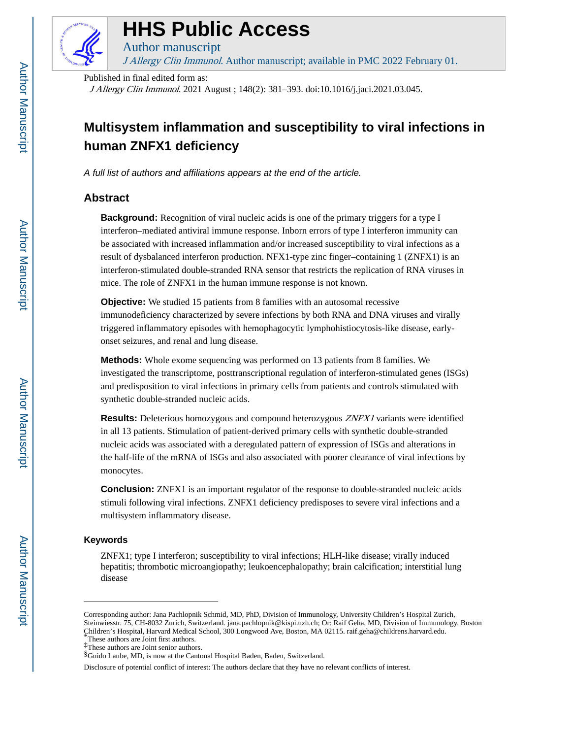

# **HHS Public Access**

Author manuscript J Allergy Clin Immunol. Author manuscript; available in PMC 2022 February 01.

Published in final edited form as:

J Allergy Clin Immunol. 2021 August ; 148(2): 381–393. doi:10.1016/j.jaci.2021.03.045.

## **Multisystem inflammation and susceptibility to viral infections in human ZNFX1 deficiency**

A full list of authors and affiliations appears at the end of the article.

## **Abstract**

**Background:** Recognition of viral nucleic acids is one of the primary triggers for a type I interferon–mediated antiviral immune response. Inborn errors of type I interferon immunity can be associated with increased inflammation and/or increased susceptibility to viral infections as a result of dysbalanced interferon production. NFX1-type zinc finger–containing 1 (ZNFX1) is an interferon-stimulated double-stranded RNA sensor that restricts the replication of RNA viruses in mice. The role of ZNFX1 in the human immune response is not known.

**Objective:** We studied 15 patients from 8 families with an autosomal recessive immunodeficiency characterized by severe infections by both RNA and DNA viruses and virally triggered inflammatory episodes with hemophagocytic lymphohistiocytosis-like disease, earlyonset seizures, and renal and lung disease.

**Methods:** Whole exome sequencing was performed on 13 patients from 8 families. We investigated the transcriptome, posttranscriptional regulation of interferon-stimulated genes (ISGs) and predisposition to viral infections in primary cells from patients and controls stimulated with synthetic double-stranded nucleic acids.

**Results:** Deleterious homozygous and compound heterozygous *ZNFX1* variants were identified in all 13 patients. Stimulation of patient-derived primary cells with synthetic double-stranded nucleic acids was associated with a deregulated pattern of expression of ISGs and alterations in the half-life of the mRNA of ISGs and also associated with poorer clearance of viral infections by monocytes.

**Conclusion:** ZNFX1 is an important regulator of the response to double-stranded nucleic acids stimuli following viral infections. ZNFX1 deficiency predisposes to severe viral infections and a multisystem inflammatory disease.

## **Keywords**

ZNFX1; type I interferon; susceptibility to viral infections; HLH-like disease; virally induced hepatitis; thrombotic microangiopathy; leukoencephalopathy; brain calcification; interstitial lung disease

Corresponding author: Jana Pachlopnik Schmid, MD, PhD, Division of Immunology, University Children's Hospital Zurich, Steinwiesstr. 75, CH-8032 Zurich, Switzerland. jana.pachlopnik@kispi.uzh.ch; Or: Raif Geha, MD, Division of Immunology, Boston Children's Hospital, Harvard Medical School, 300 Longwood Ave, Boston, MA 02115. raif.geha@childrens.harvard.edu. These authors are Joint first authors.

<sup>‡</sup>These authors are Joint senior authors.

<sup>§</sup>Guido Laube, MD, is now at the Cantonal Hospital Baden, Baden, Switzerland.

Disclosure of potential conflict of interest: The authors declare that they have no relevant conflicts of interest.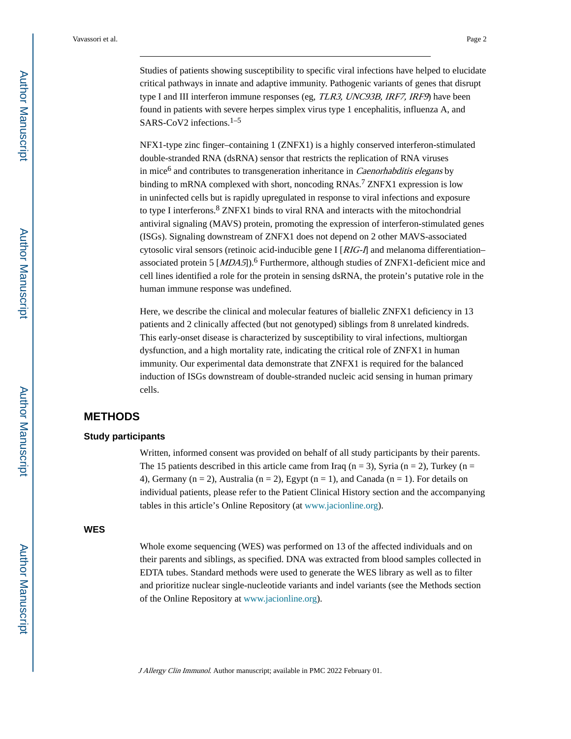Studies of patients showing susceptibility to specific viral infections have helped to elucidate critical pathways in innate and adaptive immunity. Pathogenic variants of genes that disrupt type I and III interferon immune responses (eg, *TLR3, UNC93B, IRF7, IRF9*) have been found in patients with severe herpes simplex virus type 1 encephalitis, influenza A, and SARS-CoV2 infections.<sup>1–5</sup>

NFX1-type zinc finger–containing 1 (ZNFX1) is a highly conserved interferon-stimulated double-stranded RNA (dsRNA) sensor that restricts the replication of RNA viruses in mice<sup>6</sup> and contributes to transgeneration inheritance in *Caenorhabditis elegans* by binding to mRNA complexed with short, noncoding RNAs.<sup>7</sup> ZNFX1 expression is low in uninfected cells but is rapidly upregulated in response to viral infections and exposure to type I interferons.<sup>8</sup> ZNFX1 binds to viral RNA and interacts with the mitochondrial antiviral signaling (MAVS) protein, promoting the expression of interferon-stimulated genes (ISGs). Signaling downstream of ZNFX1 does not depend on 2 other MAVS-associated cytosolic viral sensors (retinoic acid-inducible gene I  $\lfloor$  RIG-I] and melanoma differentiation– associated protein 5  $[MDA5]$ .<sup>6</sup> Furthermore, although studies of ZNFX1-deficient mice and cell lines identified a role for the protein in sensing dsRNA, the protein's putative role in the human immune response was undefined.

Here, we describe the clinical and molecular features of biallelic ZNFX1 deficiency in 13 patients and 2 clinically affected (but not genotyped) siblings from 8 unrelated kindreds. This early-onset disease is characterized by susceptibility to viral infections, multiorgan dysfunction, and a high mortality rate, indicating the critical role of ZNFX1 in human immunity. Our experimental data demonstrate that ZNFX1 is required for the balanced induction of ISGs downstream of double-stranded nucleic acid sensing in human primary cells.

## **METHODS**

#### **Study participants**

Written, informed consent was provided on behalf of all study participants by their parents. The 15 patients described in this article came from Iraq ( $n = 3$ ), Syria ( $n = 2$ ), Turkey ( $n =$ 4), Germany (n = 2), Australia (n = 2), Egypt (n = 1), and Canada (n = 1). For details on individual patients, please refer to the Patient Clinical History section and the accompanying tables in this article's Online Repository (at [www.jacionline.org\)](http://www.jacionline.org).

#### **WES**

Whole exome sequencing (WES) was performed on 13 of the affected individuals and on their parents and siblings, as specified. DNA was extracted from blood samples collected in EDTA tubes. Standard methods were used to generate the WES library as well as to filter and prioritize nuclear single-nucleotide variants and indel variants (see the Methods section of the Online Repository at [www.jacionline.org\)](http://www.jacionline.org).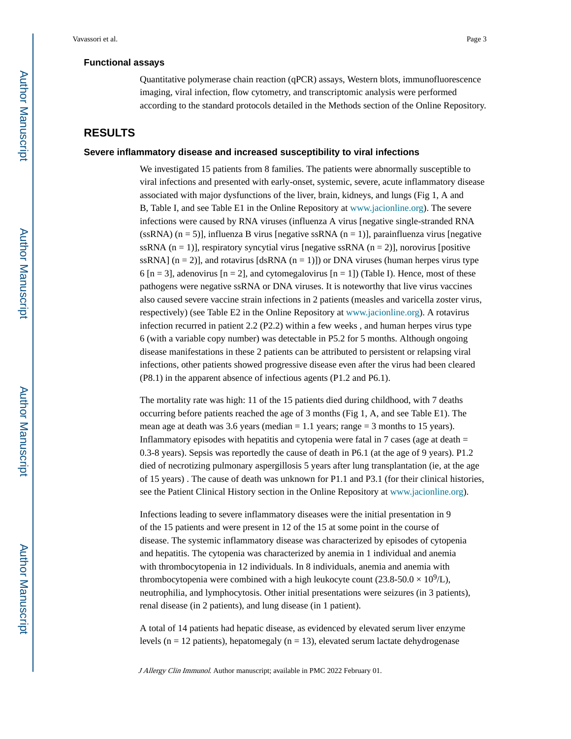#### **Functional assays**

Quantitative polymerase chain reaction (qPCR) assays, Western blots, immunofluorescence imaging, viral infection, flow cytometry, and transcriptomic analysis were performed according to the standard protocols detailed in the Methods section of the Online Repository.

## **RESULTS**

#### **Severe inflammatory disease and increased susceptibility to viral infections**

We investigated 15 patients from 8 families. The patients were abnormally susceptible to viral infections and presented with early-onset, systemic, severe, acute inflammatory disease associated with major dysfunctions of the liver, brain, kidneys, and lungs (Fig 1, A and B, Table I, and see Table E1 in the Online Repository at [www.jacionline.org](http://www.jacionline.org)). The severe infections were caused by RNA viruses (influenza A virus [negative single-stranded RNA (ssRNA)  $(n = 5)$ ], influenza B virus [negative ssRNA  $(n = 1)$ ], parainfluenza virus [negative ssRNA  $(n = 1)$ ], respiratory syncytial virus [negative ssRNA  $(n = 2)$ ], norovirus [positive ssRNA]  $(n = 2)$ ], and rotavirus [dsRNA  $(n = 1)$ ]) or DNA viruses (human herpes virus type 6 [n = 3], adenovirus [n = 2], and cytomegalovirus [n = 1]) (Table I). Hence, most of these pathogens were negative ssRNA or DNA viruses. It is noteworthy that live virus vaccines also caused severe vaccine strain infections in 2 patients (measles and varicella zoster virus, respectively) (see Table E2 in the Online Repository at [www.jacionline.org\)](http://www.jacionline.org). A rotavirus infection recurred in patient 2.2 (P2.2) within a few weeks , and human herpes virus type 6 (with a variable copy number) was detectable in P5.2 for 5 months. Although ongoing disease manifestations in these 2 patients can be attributed to persistent or relapsing viral infections, other patients showed progressive disease even after the virus had been cleared (P8.1) in the apparent absence of infectious agents (P1.2 and P6.1).

The mortality rate was high: 11 of the 15 patients died during childhood, with 7 deaths occurring before patients reached the age of 3 months (Fig 1, A, and see Table E1). The mean age at death was 3.6 years (median  $= 1.1$  years; range  $= 3$  months to 15 years). Inflammatory episodes with hepatitis and cytopenia were fatal in  $7$  cases (age at death  $=$ 0.3-8 years). Sepsis was reportedly the cause of death in P6.1 (at the age of 9 years). P1.2 died of necrotizing pulmonary aspergillosis 5 years after lung transplantation (ie, at the age of 15 years) . The cause of death was unknown for P1.1 and P3.1 (for their clinical histories, see the Patient Clinical History section in the Online Repository at [www.jacionline.org](http://www.jacionline.org)).

Infections leading to severe inflammatory diseases were the initial presentation in 9 of the 15 patients and were present in 12 of the 15 at some point in the course of disease. The systemic inflammatory disease was characterized by episodes of cytopenia and hepatitis. The cytopenia was characterized by anemia in 1 individual and anemia with thrombocytopenia in 12 individuals. In 8 individuals, anemia and anemia with thrombocytopenia were combined with a high leukocyte count  $(23.8-50.0 \times 10^9$ /L), neutrophilia, and lymphocytosis. Other initial presentations were seizures (in 3 patients), renal disease (in 2 patients), and lung disease (in 1 patient).

A total of 14 patients had hepatic disease, as evidenced by elevated serum liver enzyme levels ( $n = 12$  patients), hepatomegaly ( $n = 13$ ), elevated serum lactate dehydrogenase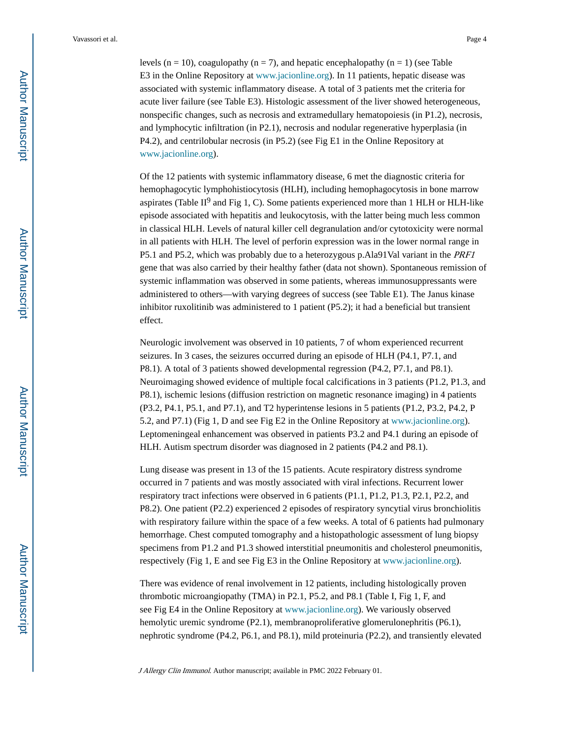levels ( $n = 10$ ), coagulopathy ( $n = 7$ ), and hepatic encephalopathy ( $n = 1$ ) (see Table E3 in the Online Repository at [www.jacionline.org](http://www.jacionline.org)). In 11 patients, hepatic disease was associated with systemic inflammatory disease. A total of 3 patients met the criteria for acute liver failure (see Table E3). Histologic assessment of the liver showed heterogeneous, nonspecific changes, such as necrosis and extramedullary hematopoiesis (in P1.2), necrosis, and lymphocytic infiltration (in P2.1), necrosis and nodular regenerative hyperplasia (in P4.2), and centrilobular necrosis (in P5.2) (see Fig E1 in the Online Repository at [www.jacionline.org\)](http://www.jacionline.org).

Of the 12 patients with systemic inflammatory disease, 6 met the diagnostic criteria for hemophagocytic lymphohistiocytosis (HLH), including hemophagocytosis in bone marrow aspirates (Table II<sup>9</sup> and Fig 1, C). Some patients experienced more than 1 HLH or HLH-like episode associated with hepatitis and leukocytosis, with the latter being much less common in classical HLH. Levels of natural killer cell degranulation and/or cytotoxicity were normal in all patients with HLH. The level of perforin expression was in the lower normal range in P5.1 and P5.2, which was probably due to a heterozygous p.Ala91Val variant in the PRF1 gene that was also carried by their healthy father (data not shown). Spontaneous remission of systemic inflammation was observed in some patients, whereas immunosuppressants were administered to others—with varying degrees of success (see Table E1). The Janus kinase inhibitor ruxolitinib was administered to 1 patient (P5.2); it had a beneficial but transient effect.

Neurologic involvement was observed in 10 patients, 7 of whom experienced recurrent seizures. In 3 cases, the seizures occurred during an episode of HLH (P4.1, P7.1, and P8.1). A total of 3 patients showed developmental regression (P4.2, P7.1, and P8.1). Neuroimaging showed evidence of multiple focal calcifications in 3 patients (P1.2, P1.3, and P8.1), ischemic lesions (diffusion restriction on magnetic resonance imaging) in 4 patients (P3.2, P4.1, P5.1, and P7.1), and T2 hyperintense lesions in 5 patients (P1.2, P3.2, P4.2, P 5.2, and P7.1) (Fig 1, D and see Fig E2 in the Online Repository at [www.jacionline.org](http://www.jacionline.org)). Leptomeningeal enhancement was observed in patients P3.2 and P4.1 during an episode of HLH. Autism spectrum disorder was diagnosed in 2 patients (P4.2 and P8.1).

Lung disease was present in 13 of the 15 patients. Acute respiratory distress syndrome occurred in 7 patients and was mostly associated with viral infections. Recurrent lower respiratory tract infections were observed in 6 patients (P1.1, P1.2, P1.3, P2.1, P2.2, and P8.2). One patient (P2.2) experienced 2 episodes of respiratory syncytial virus bronchiolitis with respiratory failure within the space of a few weeks. A total of 6 patients had pulmonary hemorrhage. Chest computed tomography and a histopathologic assessment of lung biopsy specimens from P1.2 and P1.3 showed interstitial pneumonitis and cholesterol pneumonitis, respectively (Fig 1, E and see Fig E3 in the Online Repository at [www.jacionline.org](http://www.jacionline.org)).

There was evidence of renal involvement in 12 patients, including histologically proven thrombotic microangiopathy (TMA) in P2.1, P5.2, and P8.1 (Table I, Fig 1, F, and see Fig E4 in the Online Repository at [www.jacionline.org](http://www.jacionline.org)). We variously observed hemolytic uremic syndrome (P2.1), membranoproliferative glomerulonephritis (P6.1), nephrotic syndrome (P4.2, P6.1, and P8.1), mild proteinuria (P2.2), and transiently elevated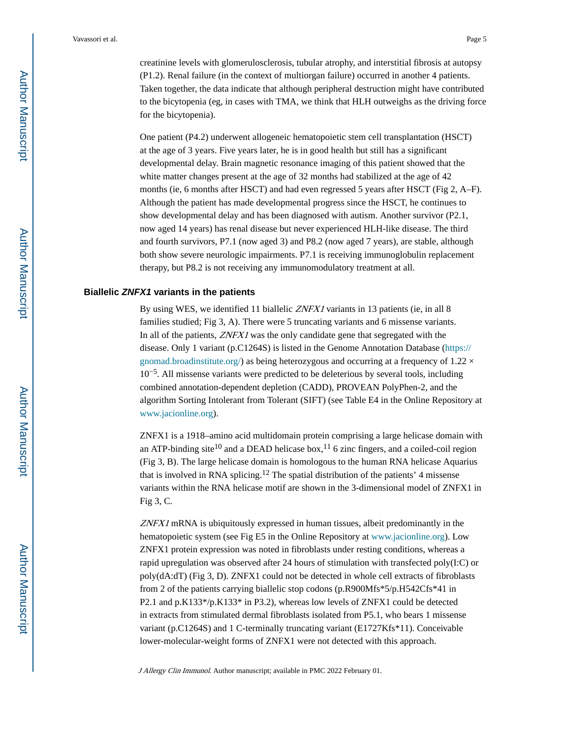creatinine levels with glomerulosclerosis, tubular atrophy, and interstitial fibrosis at autopsy (P1.2). Renal failure (in the context of multiorgan failure) occurred in another 4 patients. Taken together, the data indicate that although peripheral destruction might have contributed to the bicytopenia (eg, in cases with TMA, we think that HLH outweighs as the driving force for the bicytopenia).

One patient (P4.2) underwent allogeneic hematopoietic stem cell transplantation (HSCT) at the age of 3 years. Five years later, he is in good health but still has a significant developmental delay. Brain magnetic resonance imaging of this patient showed that the white matter changes present at the age of 32 months had stabilized at the age of 42 months (ie, 6 months after HSCT) and had even regressed 5 years after HSCT (Fig 2, A–F). Although the patient has made developmental progress since the HSCT, he continues to show developmental delay and has been diagnosed with autism. Another survivor (P2.1, now aged 14 years) has renal disease but never experienced HLH-like disease. The third and fourth survivors, P7.1 (now aged 3) and P8.2 (now aged 7 years), are stable, although both show severe neurologic impairments. P7.1 is receiving immunoglobulin replacement therapy, but P8.2 is not receiving any immunomodulatory treatment at all.

#### **Biallelic ZNFX1 variants in the patients**

By using WES, we identified 11 biallelic *ZNFX1* variants in 13 patients (ie, in all 8) families studied; Fig 3, A). There were 5 truncating variants and 6 missense variants. In all of the patients, *ZNFX1* was the only candidate gene that segregated with the disease. Only 1 variant (p.C1264S) is listed in the Genome Annotation Database [\(https://](https://gnomad.broadinstitute.org/) [gnomad.broadinstitute.org/](https://gnomad.broadinstitute.org/)) as being heterozygous and occurring at a frequency of  $1.22 \times$ 10−5. All missense variants were predicted to be deleterious by several tools, including combined annotation-dependent depletion (CADD), PROVEAN PolyPhen-2, and the algorithm Sorting Intolerant from Tolerant (SIFT) (see Table E4 in the Online Repository at [www.jacionline.org\)](http://www.jacionline.org).

ZNFX1 is a 1918–amino acid multidomain protein comprising a large helicase domain with an ATP-binding site<sup>10</sup> and a DEAD helicase box,<sup>11</sup> 6 zinc fingers, and a coiled-coil region (Fig 3, B). The large helicase domain is homologous to the human RNA helicase Aquarius that is involved in RNA splicing.12 The spatial distribution of the patients' 4 missense variants within the RNA helicase motif are shown in the 3-dimensional model of ZNFX1 in Fig 3, C.

ZNFX1 mRNA is ubiquitously expressed in human tissues, albeit predominantly in the hematopoietic system (see Fig E5 in the Online Repository at [www.jacionline.org\)](http://www.jacionline.org). Low ZNFX1 protein expression was noted in fibroblasts under resting conditions, whereas a rapid upregulation was observed after 24 hours of stimulation with transfected poly(I:C) or poly(dA:dT) (Fig 3, D). ZNFX1 could not be detected in whole cell extracts of fibroblasts from 2 of the patients carrying biallelic stop codons (p.R900Mfs\*5/p.H542Cfs\*41 in P2.1 and p.K133\*/p.K133\* in P3.2), whereas low levels of ZNFX1 could be detected in extracts from stimulated dermal fibroblasts isolated from P5.1, who bears 1 missense variant (p.C1264S) and 1 C-terminally truncating variant (E1727Kfs\*11). Conceivable lower-molecular-weight forms of ZNFX1 were not detected with this approach.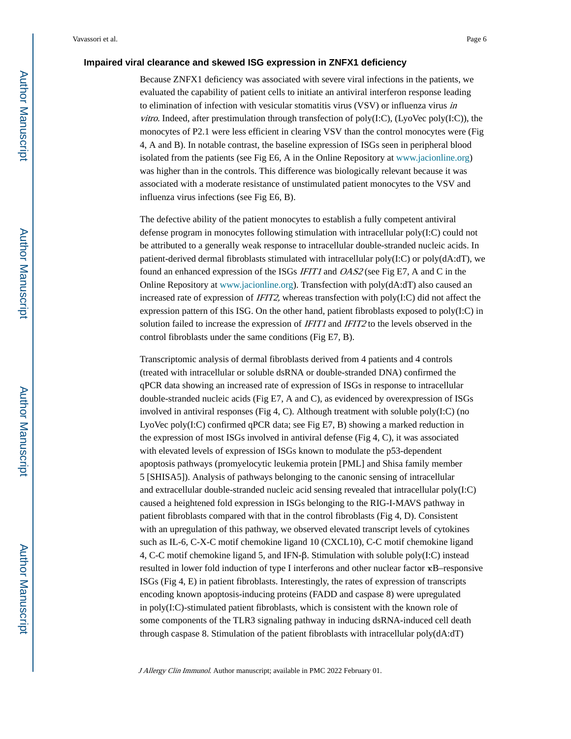#### **Impaired viral clearance and skewed ISG expression in ZNFX1 deficiency**

Because ZNFX1 deficiency was associated with severe viral infections in the patients, we evaluated the capability of patient cells to initiate an antiviral interferon response leading to elimination of infection with vesicular stomatitis virus (VSV) or influenza virus in vitro. Indeed, after prestimulation through transfection of poly $(I:C)$ ,  $(LyoVec poly(I:C))$ , the monocytes of P2.1 were less efficient in clearing VSV than the control monocytes were (Fig 4, A and B). In notable contrast, the baseline expression of ISGs seen in peripheral blood isolated from the patients (see Fig E6, A in the Online Repository at [www.jacionline.org\)](http://www.jacionline.org) was higher than in the controls. This difference was biologically relevant because it was associated with a moderate resistance of unstimulated patient monocytes to the VSV and influenza virus infections (see Fig E6, B).

The defective ability of the patient monocytes to establish a fully competent antiviral defense program in monocytes following stimulation with intracellular poly(I:C) could not be attributed to a generally weak response to intracellular double-stranded nucleic acids. In patient-derived dermal fibroblasts stimulated with intracellular  $poly(I:C)$  or  $poly(dA:dT)$ , we found an enhanced expression of the ISGs IFIT1 and OAS2 (see Fig E7, A and C in the Online Repository at [www.jacionline.org](http://www.jacionline.org)). Transfection with poly(dA:dT) also caused an increased rate of expression of *IFIT2*, whereas transfection with poly $(I:C)$  did not affect the expression pattern of this ISG. On the other hand, patient fibroblasts exposed to poly(I:C) in solution failed to increase the expression of IFIT1 and IFIT2 to the levels observed in the control fibroblasts under the same conditions (Fig E7, B).

Transcriptomic analysis of dermal fibroblasts derived from 4 patients and 4 controls (treated with intracellular or soluble dsRNA or double-stranded DNA) confirmed the qPCR data showing an increased rate of expression of ISGs in response to intracellular double-stranded nucleic acids (Fig E7, A and C), as evidenced by overexpression of ISGs involved in antiviral responses (Fig 4, C). Although treatment with soluble poly $(I:C)$  (no LyoVec poly(I:C) confirmed qPCR data; see Fig E7, B) showing a marked reduction in the expression of most ISGs involved in antiviral defense (Fig 4, C), it was associated with elevated levels of expression of ISGs known to modulate the p53-dependent apoptosis pathways (promyelocytic leukemia protein [PML] and Shisa family member 5 [SHISA5]). Analysis of pathways belonging to the canonic sensing of intracellular and extracellular double-stranded nucleic acid sensing revealed that intracellular poly(I:C) caused a heightened fold expression in ISGs belonging to the RIG-I-MAVS pathway in patient fibroblasts compared with that in the control fibroblasts (Fig 4, D). Consistent with an upregulation of this pathway, we observed elevated transcript levels of cytokines such as IL-6, C-X-C motif chemokine ligand 10 (CXCL10), C-C motif chemokine ligand 4, C-C motif chemokine ligand 5, and IFN-β. Stimulation with soluble poly(I:C) instead resulted in lower fold induction of type I interferons and other nuclear factor κB–responsive ISGs (Fig 4, E) in patient fibroblasts. Interestingly, the rates of expression of transcripts encoding known apoptosis-inducing proteins (FADD and caspase 8) were upregulated in  $poly(I:C)$ -stimulated patient fibroblasts, which is consistent with the known role of some components of the TLR3 signaling pathway in inducing dsRNA-induced cell death through caspase 8. Stimulation of the patient fibroblasts with intracellular  $poly(dA:dT)$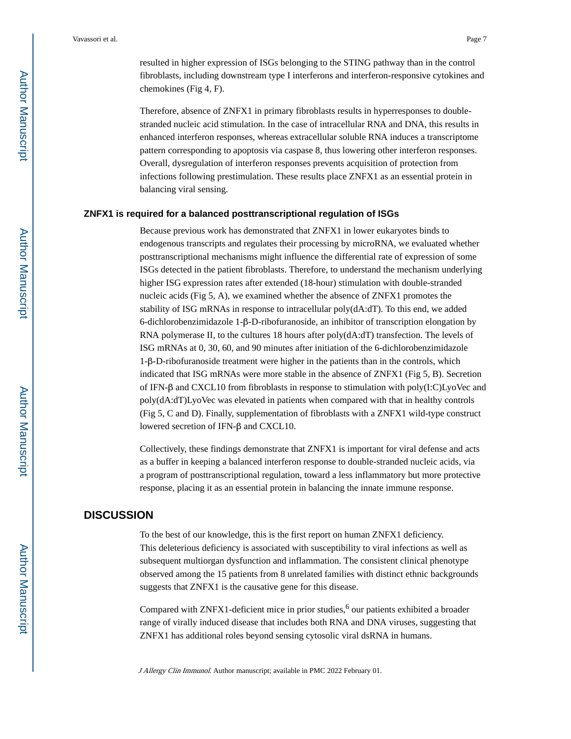resulted in higher expression of ISGs belonging to the STING pathway than in the control fibroblasts, including downstream type I interferons and interferon-responsive cytokines and chemokines (Fig 4, F).

Therefore, absence of ZNFX1 in primary fibroblasts results in hyperresponses to doublestranded nucleic acid stimulation. In the case of intracellular RNA and DNA, this results in enhanced interferon responses, whereas extracellular soluble RNA induces a transcriptome pattern corresponding to apoptosis via caspase 8, thus lowering other interferon responses. Overall, dysregulation of interferon responses prevents acquisition of protection from infections following prestimulation. These results place ZNFX1 as an essential protein in balancing viral sensing.

#### **ZNFX1 is required for a balanced posttranscriptional regulation of ISGs**

Because previous work has demonstrated that ZNFX1 in lower eukaryotes binds to endogenous transcripts and regulates their processing by microRNA, we evaluated whether posttranscriptional mechanisms might influence the differential rate of expression of some ISGs detected in the patient fibroblasts. Therefore, to understand the mechanism underlying higher ISG expression rates after extended (18-hour) stimulation with double-stranded nucleic acids (Fig 5, A), we examined whether the absence of ZNFX1 promotes the stability of ISG mRNAs in response to intracellular poly(dA:dT). To this end, we added 6-dichlorobenzimidazole 1-β-D-ribofuranoside, an inhibitor of transcription elongation by RNA polymerase II, to the cultures 18 hours after poly( $dA:dT$ ) transfection. The levels of ISG mRNAs at 0, 30, 60, and 90 minutes after initiation of the 6-dichlorobenzimidazole 1-β-D-ribofuranoside treatment were higher in the patients than in the controls, which indicated that ISG mRNAs were more stable in the absence of ZNFX1 (Fig 5, B). Secretion of IFN-β and CXCL10 from fibroblasts in response to stimulation with poly(I:C)LyoVec and poly(dA:dT)LyoVec was elevated in patients when compared with that in healthy controls (Fig 5, C and D). Finally, supplementation of fibroblasts with a ZNFX1 wild-type construct lowered secretion of IFN-β and CXCL10.

Collectively, these findings demonstrate that ZNFX1 is important for viral defense and acts as a buffer in keeping a balanced interferon response to double-stranded nucleic acids, via a program of posttranscriptional regulation, toward a less inflammatory but more protective response, placing it as an essential protein in balancing the innate immune response.

## **DISCUSSION**

To the best of our knowledge, this is the first report on human ZNFX1 deficiency. This deleterious deficiency is associated with susceptibility to viral infections as well as subsequent multiorgan dysfunction and inflammation. The consistent clinical phenotype observed among the 15 patients from 8 unrelated families with distinct ethnic backgrounds suggests that ZNFX1 is the causative gene for this disease.

Compared with  $ZNFX1$ -deficient mice in prior studies,<sup>6</sup> our patients exhibited a broader range of virally induced disease that includes both RNA and DNA viruses, suggesting that ZNFX1 has additional roles beyond sensing cytosolic viral dsRNA in humans.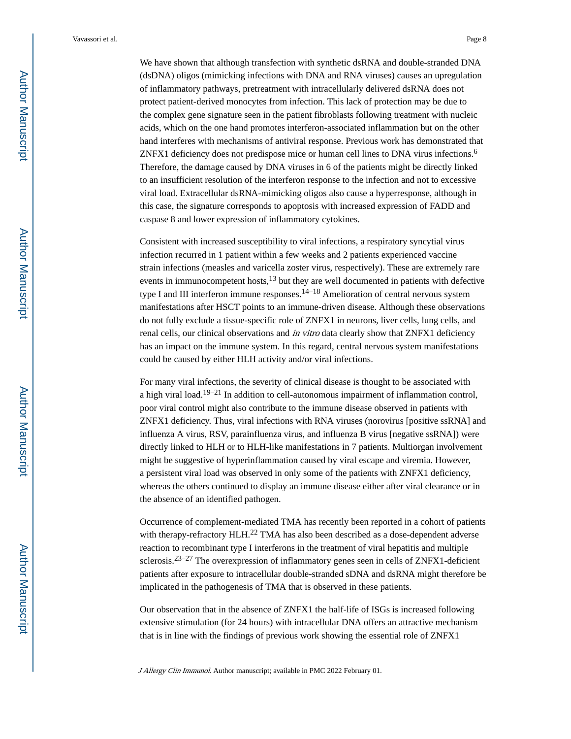We have shown that although transfection with synthetic dsRNA and double-stranded DNA (dsDNA) oligos (mimicking infections with DNA and RNA viruses) causes an upregulation of inflammatory pathways, pretreatment with intracellularly delivered dsRNA does not protect patient-derived monocytes from infection. This lack of protection may be due to the complex gene signature seen in the patient fibroblasts following treatment with nucleic acids, which on the one hand promotes interferon-associated inflammation but on the other hand interferes with mechanisms of antiviral response. Previous work has demonstrated that ZNFX1 deficiency does not predispose mice or human cell lines to DNA virus infections.<sup>6</sup> Therefore, the damage caused by DNA viruses in 6 of the patients might be directly linked to an insufficient resolution of the interferon response to the infection and not to excessive viral load. Extracellular dsRNA-mimicking oligos also cause a hyperresponse, although in this case, the signature corresponds to apoptosis with increased expression of FADD and caspase 8 and lower expression of inflammatory cytokines.

Consistent with increased susceptibility to viral infections, a respiratory syncytial virus infection recurred in 1 patient within a few weeks and 2 patients experienced vaccine strain infections (measles and varicella zoster virus, respectively). These are extremely rare events in immunocompetent hosts, $13$  but they are well documented in patients with defective type I and III interferon immune responses.<sup>14–18</sup> Amelioration of central nervous system manifestations after HSCT points to an immune-driven disease. Although these observations do not fully exclude a tissue-specific role of ZNFX1 in neurons, liver cells, lung cells, and renal cells, our clinical observations and in vitro data clearly show that ZNFX1 deficiency has an impact on the immune system. In this regard, central nervous system manifestations could be caused by either HLH activity and/or viral infections.

For many viral infections, the severity of clinical disease is thought to be associated with a high viral load.<sup>19–21</sup> In addition to cell-autonomous impairment of inflammation control, poor viral control might also contribute to the immune disease observed in patients with ZNFX1 deficiency. Thus, viral infections with RNA viruses (norovirus [positive ssRNA] and influenza A virus, RSV, parainfluenza virus, and influenza B virus [negative ssRNA]) were directly linked to HLH or to HLH-like manifestations in 7 patients. Multiorgan involvement might be suggestive of hyperinflammation caused by viral escape and viremia. However, a persistent viral load was observed in only some of the patients with ZNFX1 deficiency, whereas the others continued to display an immune disease either after viral clearance or in the absence of an identified pathogen.

Occurrence of complement-mediated TMA has recently been reported in a cohort of patients with therapy-refractory HLH.<sup>22</sup> TMA has also been described as a dose-dependent adverse reaction to recombinant type I interferons in the treatment of viral hepatitis and multiple sclerosis.<sup>23–27</sup> The overexpression of inflammatory genes seen in cells of ZNFX1-deficient patients after exposure to intracellular double-stranded sDNA and dsRNA might therefore be implicated in the pathogenesis of TMA that is observed in these patients.

Our observation that in the absence of ZNFX1 the half-life of ISGs is increased following extensive stimulation (for 24 hours) with intracellular DNA offers an attractive mechanism that is in line with the findings of previous work showing the essential role of ZNFX1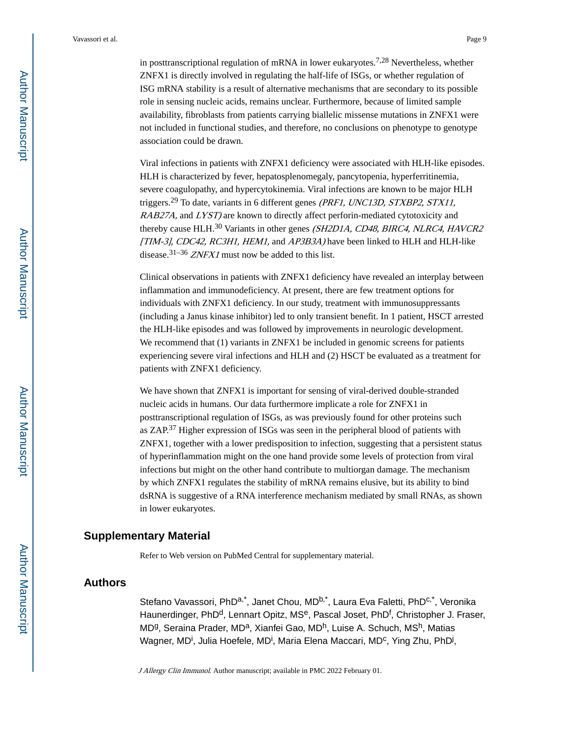in posttranscriptional regulation of mRNA in lower eukaryotes.<sup>7,28</sup> Nevertheless, whether ZNFX1 is directly involved in regulating the half-life of ISGs, or whether regulation of ISG mRNA stability is a result of alternative mechanisms that are secondary to its possible role in sensing nucleic acids, remains unclear. Furthermore, because of limited sample availability, fibroblasts from patients carrying biallelic missense mutations in ZNFX1 were not included in functional studies, and therefore, no conclusions on phenotype to genotype association could be drawn.

Viral infections in patients with ZNFX1 deficiency were associated with HLH-like episodes. HLH is characterized by fever, hepatosplenomegaly, pancytopenia, hyperferritinemia, severe coagulopathy, and hypercytokinemia. Viral infections are known to be major HLH triggers.<sup>29</sup> To date, variants in 6 different genes *(PRF1, UNC13D, STXBP2, STX11,* RAB27A, and LYST) are known to directly affect perforin-mediated cytotoxicity and thereby cause HLH.<sup>30</sup> Variants in other genes (SH2D1A, CD48, BIRC4, NLRC4, HAVCR2 [TIM-3], CDC42, RC3H1, HEM1, and AP3B3A) have been linked to HLH and HLH-like disease.<sup>31–36</sup> *ZNFX1* must now be added to this list.

Clinical observations in patients with ZNFX1 deficiency have revealed an interplay between inflammation and immunodeficiency. At present, there are few treatment options for individuals with ZNFX1 deficiency. In our study, treatment with immunosuppressants (including a Janus kinase inhibitor) led to only transient benefit. In 1 patient, HSCT arrested the HLH-like episodes and was followed by improvements in neurologic development. We recommend that (1) variants in ZNFX1 be included in genomic screens for patients experiencing severe viral infections and HLH and (2) HSCT be evaluated as a treatment for patients with ZNFX1 deficiency.

We have shown that ZNFX1 is important for sensing of viral-derived double-stranded nucleic acids in humans. Our data furthermore implicate a role for ZNFX1 in posttranscriptional regulation of ISGs, as was previously found for other proteins such as ZAP.37 Higher expression of ISGs was seen in the peripheral blood of patients with ZNFX1, together with a lower predisposition to infection, suggesting that a persistent status of hyperinflammation might on the one hand provide some levels of protection from viral infections but might on the other hand contribute to multiorgan damage. The mechanism by which ZNFX1 regulates the stability of mRNA remains elusive, but its ability to bind dsRNA is suggestive of a RNA interference mechanism mediated by small RNAs, as shown in lower eukaryotes.

## **Supplementary Material**

Refer to Web version on PubMed Central for supplementary material.

## **Authors**

Stefano Vavassori, PhDa,\*, Janet Chou, MDb,\*, Laura Eva Faletti, PhDc,\*, Veronika Haunerdinger, PhD<sup>d</sup>, Lennart Opitz, MS<sup>e</sup>, Pascal Joset, PhD<sup>f</sup>, Christopher J. Fraser, MD<sup>g</sup>, Seraina Prader, MD<sup>a</sup>, Xianfei Gao, MD<sup>h</sup>, Luise A. Schuch, MS<sup>h</sup>, Matias Wagner, MD<sup>i</sup>, Julia Hoefele, MD<sup>i</sup>, Maria Elena Maccari, MD<sup>c</sup>, Ying Zhu, PhD<sup>j</sup>,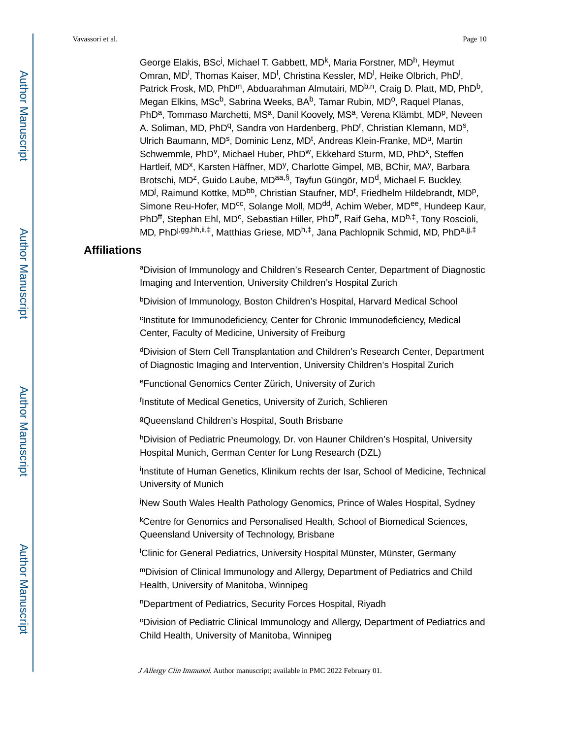George Elakis, BSc<sup>j</sup>, Michael T. Gabbett, MD<sup>k</sup>, Maria Forstner, MD<sup>h</sup>, Heymut Omran, MD<sup>I</sup>, Thomas Kaiser, MD<sup>I</sup>, Christina Kessler, MD<sup>I</sup>, Heike Olbrich, PhD<sup>I</sup>, Patrick Frosk, MD, PhD<sup>m</sup>, Abduarahman Almutairi, MD<sup>b,n</sup>, Craig D. Platt, MD, PhD<sup>b</sup>, Megan Elkins, MSc<sup>b</sup>, Sabrina Weeks, BA<sup>b</sup>, Tamar Rubin, MD<sup>o</sup>, Raquel Planas, PhD<sup>a</sup>, Tommaso Marchetti, MS<sup>a</sup>, Danil Koovely, MS<sup>a</sup>, Verena Klämbt, MD<sup>p</sup>, Neveen A. Soliman, MD, PhD<sup>q</sup>, Sandra von Hardenberg, PhD<sup>r</sup>, Christian Klemann, MD<sup>s</sup>, Ulrich Baumann, MD<sup>s</sup>, Dominic Lenz, MD<sup>t</sup>, Andreas Klein-Franke, MD<sup>u</sup>, Martin Schwemmle, PhD<sup>v</sup>, Michael Huber, PhD<sup>w</sup>, Ekkehard Sturm, MD, PhD<sup>x</sup>, Steffen Hartleif, MD<sup>x</sup>, Karsten Häffner, MD<sup>y</sup>, Charlotte Gimpel, MB, BChir, MA<sup>y</sup>, Barbara Brotschi, MD<sup>z</sup>, Guido Laube, MD<sup>aa,§</sup>, Tayfun Güngör, MD<sup>d</sup>, Michael F. Buckley, MD<sup>j</sup>, Raimund Kottke, MD<sup>bb</sup>, Christian Staufner, MD<sup>t</sup>, Friedhelm Hildebrandt, MD<sup>p</sup>, Simone Reu-Hofer, MD<sup>cc</sup>, Solange Moll, MD<sup>dd</sup>, Achim Weber, MD<sup>ee</sup>, Hundeep Kaur, PhD<sup>ff</sup>, Stephan Ehl, MD<sup>c</sup>, Sebastian Hiller, PhD<sup>ff</sup>, Raif Geha, MD<sup>b,‡</sup>, Tony Roscioli, MD, PhDi,gg,hh,ii,‡, Matthias Griese, MDh,‡, Jana Pachlopnik Schmid, MD, PhDa,jj,‡

## **Affiliations**

<sup>a</sup>Division of Immunology and Children's Research Center, Department of Diagnostic Imaging and Intervention, University Children's Hospital Zurich

<sup>b</sup>Division of Immunology, Boston Children's Hospital, Harvard Medical School

c Institute for Immunodeficiency, Center for Chronic Immunodeficiency, Medical Center, Faculty of Medicine, University of Freiburg

<sup>d</sup>Division of Stem Cell Transplantation and Children's Research Center, Department of Diagnostic Imaging and Intervention, University Children's Hospital Zurich

<sup>e</sup>Functional Genomics Center Zürich, University of Zurich

<sup>f</sup>Institute of Medical Genetics, University of Zurich, Schlieren

<sup>g</sup>Queensland Children's Hospital, South Brisbane

hDivision of Pediatric Pneumology, Dr. von Hauner Children's Hospital, University Hospital Munich, German Center for Lung Research (DZL)

i Institute of Human Genetics, Klinikum rechts der Isar, School of Medicine, Technical University of Munich

<sup>j</sup>New South Wales Health Pathology Genomics, Prince of Wales Hospital, Sydney

<sup>k</sup>Centre for Genomics and Personalised Health, School of Biomedical Sciences, Queensland University of Technology, Brisbane

<sup>l</sup>Clinic for General Pediatrics, University Hospital Münster, Münster, Germany

<sup>m</sup>Division of Clinical Immunology and Allergy, Department of Pediatrics and Child Health, University of Manitoba, Winnipeg

<sup>n</sup>Department of Pediatrics, Security Forces Hospital, Riyadh

<sup>o</sup>Division of Pediatric Clinical Immunology and Allergy, Department of Pediatrics and Child Health, University of Manitoba, Winnipeg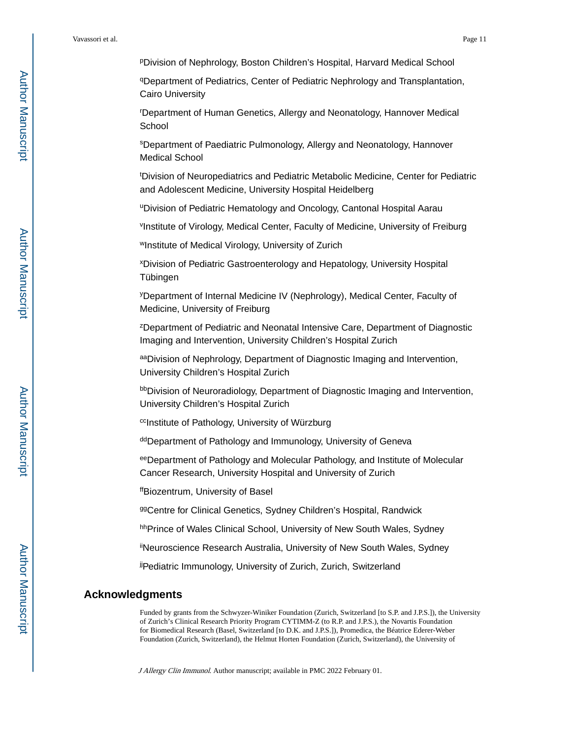<sup>p</sup>Division of Nephrology, Boston Children's Hospital, Harvard Medical School

<sup>q</sup>Department of Pediatrics, Center of Pediatric Nephrology and Transplantation, Cairo University

<sup>r</sup>Department of Human Genetics, Allergy and Neonatology, Hannover Medical **School** 

<sup>s</sup>Department of Paediatric Pulmonology, Allergy and Neonatology, Hannover Medical School

<sup>t</sup>Division of Neuropediatrics and Pediatric Metabolic Medicine, Center for Pediatric and Adolescent Medicine, University Hospital Heidelberg

<sup>u</sup>Division of Pediatric Hematology and Oncology, Cantonal Hospital Aarau

v Institute of Virology, Medical Center, Faculty of Medicine, University of Freiburg

<sup>w</sup>Institute of Medical Virology, University of Zurich

<sup>x</sup>Division of Pediatric Gastroenterology and Hepatology, University Hospital Tübingen

<sup>y</sup>Department of Internal Medicine IV (Nephrology), Medical Center, Faculty of Medicine, University of Freiburg

<sup>z</sup>Department of Pediatric and Neonatal Intensive Care, Department of Diagnostic Imaging and Intervention, University Children's Hospital Zurich

aaDivision of Nephrology, Department of Diagnostic Imaging and Intervention, University Children's Hospital Zurich

bbDivision of Neuroradiology, Department of Diagnostic Imaging and Intervention, University Children's Hospital Zurich

ccInstitute of Pathology, University of Würzburg

ddDepartment of Pathology and Immunology, University of Geneva

eeDepartment of Pathology and Molecular Pathology, and Institute of Molecular Cancer Research, University Hospital and University of Zurich

ffBiozentrum, University of Basel

99 Centre for Clinical Genetics, Sydney Children's Hospital, Randwick

hhPrince of Wales Clinical School, University of New South Wales, Sydney

iiNeuroscience Research Australia, University of New South Wales, Sydney

jjPediatric Immunology, University of Zurich, Zurich, Switzerland

## **Acknowledgments**

Funded by grants from the Schwyzer-Winiker Foundation (Zurich, Switzerland [to S.P. and J.P.S.]), the University of Zurich's Clinical Research Priority Program CYTIMM-Z (to R.P. and J.P.S.), the Novartis Foundation for Biomedical Research (Basel, Switzerland [to D.K. and J.P.S.]), Promedica, the Béatrice Ederer-Weber Foundation (Zurich, Switzerland), the Helmut Horten Foundation (Zurich, Switzerland), the University of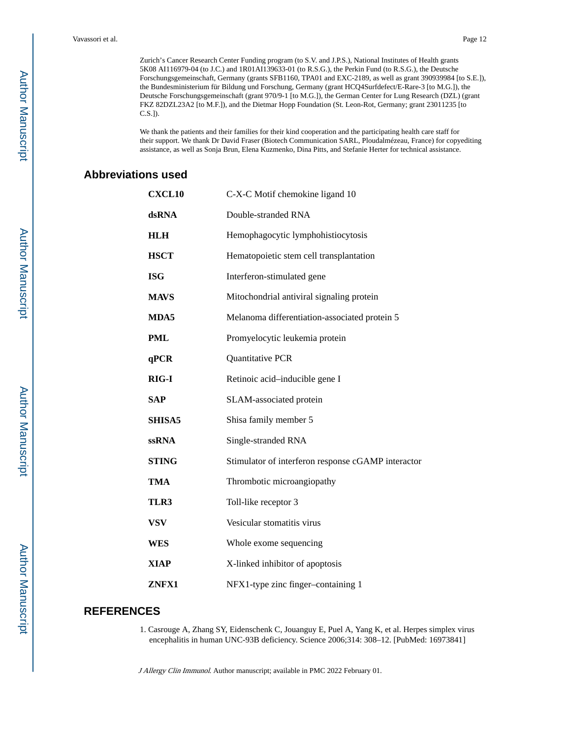Zurich's Cancer Research Center Funding program (to S.V. and J.P.S.), National Institutes of Health grants 5K08 AI116979-04 (to J.C.) and 1R01AI139633-01 (to R.S.G.), the Perkin Fund (to R.S.G.), the Deutsche Forschungsgemeinschaft, Germany (grants SFB1160, TPA01 and EXC-2189, as well as grant 390939984 [to S.E.]), the Bundesministerium für Bildung und Forschung, Germany (grant HCQ4Surfdefect/E-Rare-3 [to M.G.]), the Deutsche Forschungsgemeinschaft (grant 970/9-1 [to M.G.]), the German Center for Lung Research (DZL) (grant FKZ 82DZL23A2 [to M.F.]), and the Dietmar Hopp Foundation (St. Leon-Rot, Germany; grant 23011235 [to C.S.]).

We thank the patients and their families for their kind cooperation and the participating health care staff for their support. We thank Dr David Fraser (Biotech Communication SARL, Ploudalmézeau, France) for copyediting assistance, as well as Sonja Brun, Elena Kuzmenko, Dina Pitts, and Stefanie Herter for technical assistance.

## **Abbreviations used**

| <b>CXCL10</b> | C-X-C Motif chemokine ligand 10                    |
|---------------|----------------------------------------------------|
| dsRNA         | Double-stranded RNA                                |
| <b>HLH</b>    | Hemophagocytic lymphohistiocytosis                 |
| <b>HSCT</b>   | Hematopoietic stem cell transplantation            |
| <b>ISG</b>    | Interferon-stimulated gene                         |
| <b>MAVS</b>   | Mitochondrial antiviral signaling protein          |
| MDA5          | Melanoma differentiation-associated protein 5      |
| <b>PML</b>    | Promyelocytic leukemia protein                     |
| qPCR          | Quantitative PCR                                   |
| RIG-I         | Retinoic acid-inducible gene I                     |
| <b>SAP</b>    | SLAM-associated protein                            |
| <b>SHISA5</b> | Shisa family member 5                              |
| <b>ssRNA</b>  | Single-stranded RNA                                |
| <b>STING</b>  | Stimulator of interferon response cGAMP interactor |
| TMA           | Thrombotic microangiopathy                         |
| TLR3          | Toll-like receptor 3                               |
| <b>VSV</b>    | Vesicular stomatitis virus                         |
| WES           | Whole exome sequencing                             |
| <b>XIAP</b>   | X-linked inhibitor of apoptosis                    |
| <b>ZNFX1</b>  | NFX1-type zinc finger-containing 1                 |

## **REFERENCES**

1. Casrouge A, Zhang SY, Eidenschenk C, Jouanguy E, Puel A, Yang K, et al. Herpes simplex virus encephalitis in human UNC-93B deficiency. Science 2006;314: 308–12. [PubMed: 16973841]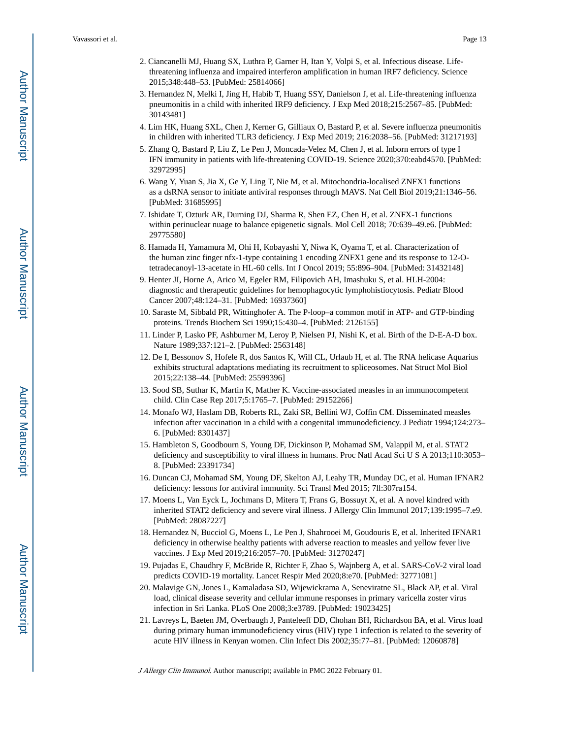- 2. Ciancanelli MJ, Huang SX, Luthra P, Garner H, Itan Y, Volpi S, et al. Infectious disease. Lifethreatening influenza and impaired interferon amplification in human IRF7 deficiency. Science 2015;348:448–53. [PubMed: 25814066]
- 3. Hernandez N, Melki I, Jing H, Habib T, Huang SSY, Danielson J, et al. Life-threatening influenza pneumonitis in a child with inherited IRF9 deficiency. J Exp Med 2018;215:2567–85. [PubMed: 30143481]
- 4. Lim HK, Huang SXL, Chen J, Kerner G, Gilliaux O, Bastard P, et al. Severe influenza pneumonitis in children with inherited TLR3 deficiency. J Exp Med 2019; 216:2038–56. [PubMed: 31217193]
- 5. Zhang Q, Bastard P, Liu Z, Le Pen J, Moncada-Velez M, Chen J, et al. Inborn errors of type I IFN immunity in patients with life-threatening COVID-19. Science 2020;370:eabd4570. [PubMed: 32972995]
- 6. Wang Y, Yuan S, Jia X, Ge Y, Ling T, Nie M, et al. Mitochondria-localised ZNFX1 functions as a dsRNA sensor to initiate antiviral responses through MAVS. Nat Cell Biol 2019;21:1346–56. [PubMed: 31685995]
- 7. Ishidate T, Ozturk AR, Durning DJ, Sharma R, Shen EZ, Chen H, et al. ZNFX-1 functions within perinuclear nuage to balance epigenetic signals. Mol Cell 2018; 70:639–49.e6. [PubMed: 29775580]
- 8. Hamada H, Yamamura M, Ohi H, Kobayashi Y, Niwa K, Oyama T, et al. Characterization of the human zinc finger nfx-1-type containing 1 encoding ZNFX1 gene and its response to 12-Otetradecanoyl-13-acetate in HL-60 cells. Int J Oncol 2019; 55:896–904. [PubMed: 31432148]
- 9. Henter JI, Horne A, Arico M, Egeler RM, Filipovich AH, Imashuku S, et al. HLH-2004: diagnostic and therapeutic guidelines for hemophagocytic lymphohistiocytosis. Pediatr Blood Cancer 2007;48:124–31. [PubMed: 16937360]
- 10. Saraste M, Sibbald PR, Wittinghofer A. The P-loop–a common motif in ATP- and GTP-binding proteins. Trends Biochem Sci 1990;15:430–4. [PubMed: 2126155]
- 11. Linder P, Lasko PF, Ashburner M, Leroy P, Nielsen PJ, Nishi K, et al. Birth of the D-E-A-D box. Nature 1989;337:121–2. [PubMed: 2563148]
- 12. De I, Bessonov S, Hofele R, dos Santos K, Will CL, Urlaub H, et al. The RNA helicase Aquarius exhibits structural adaptations mediating its recruitment to spliceosomes. Nat Struct Mol Biol 2015;22:138–44. [PubMed: 25599396]
- 13. Sood SB, Suthar K, Martin K, Mather K. Vaccine-associated measles in an immunocompetent child. Clin Case Rep 2017;5:1765–7. [PubMed: 29152266]
- 14. Monafo WJ, Haslam DB, Roberts RL, Zaki SR, Bellini WJ, Coffin CM. Disseminated measles infection after vaccination in a child with a congenital immunodeficiency. J Pediatr 1994;124:273– 6. [PubMed: 8301437]
- 15. Hambleton S, Goodbourn S, Young DF, Dickinson P, Mohamad SM, Valappil M, et al. STAT2 deficiency and susceptibility to viral illness in humans. Proc Natl Acad Sci U S A 2013;110:3053– 8. [PubMed: 23391734]
- 16. Duncan CJ, Mohamad SM, Young DF, Skelton AJ, Leahy TR, Munday DC, et al. Human IFNAR2 deficiency: lessons for antiviral immunity. Sci Transl Med 2015; 7ll:307ra154.
- 17. Moens L, Van Eyck L, Jochmans D, Mitera T, Frans G, Bossuyt X, et al. A novel kindred with inherited STAT2 deficiency and severe viral illness. J Allergy Clin Immunol 2017;139:1995–7.e9. [PubMed: 28087227]
- 18. Hernandez N, Bucciol G, Moens L, Le Pen J, Shahrooei M, Goudouris E, et al. Inherited IFNAR1 deficiency in otherwise healthy patients with adverse reaction to measles and yellow fever live vaccines. J Exp Med 2019;216:2057–70. [PubMed: 31270247]
- 19. Pujadas E, Chaudhry F, McBride R, Richter F, Zhao S, Wajnberg A, et al. SARS-CoV-2 viral load predicts COVID-19 mortality. Lancet Respir Med 2020;8:e70. [PubMed: 32771081]
- 20. Malavige GN, Jones L, Kamaladasa SD, Wijewickrama A, Seneviratne SL, Black AP, et al. Viral load, clinical disease severity and cellular immune responses in primary varicella zoster virus infection in Sri Lanka. PLoS One 2008;3:e3789. [PubMed: 19023425]
- 21. Lavreys L, Baeten JM, Overbaugh J, Panteleeff DD, Chohan BH, Richardson BA, et al. Virus load during primary human immunodeficiency virus (HIV) type 1 infection is related to the severity of acute HIV illness in Kenyan women. Clin Infect Dis 2002;35:77–81. [PubMed: 12060878]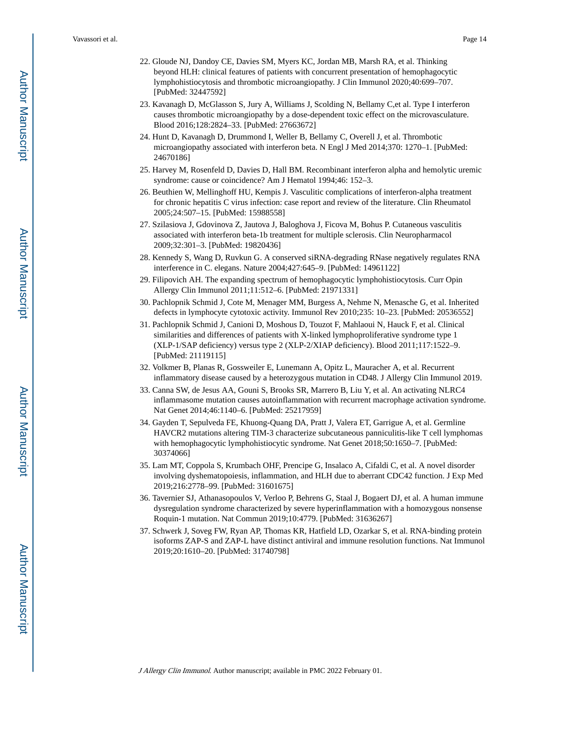- 22. Gloude NJ, Dandoy CE, Davies SM, Myers KC, Jordan MB, Marsh RA, et al. Thinking beyond HLH: clinical features of patients with concurrent presentation of hemophagocytic lymphohistiocytosis and thrombotic microangiopathy. J Clin Immunol 2020;40:699–707. [PubMed: 32447592]
- 23. Kavanagh D, McGlasson S, Jury A, Williams J, Scolding N, Bellamy C,et al. Type I interferon causes thrombotic microangiopathy by a dose-dependent toxic effect on the microvasculature. Blood 2016;128:2824–33. [PubMed: 27663672]
- 24. Hunt D, Kavanagh D, Drummond I, Weller B, Bellamy C, Overell J, et al. Thrombotic microangiopathy associated with interferon beta. N Engl J Med 2014;370: 1270–1. [PubMed: 24670186]
- 25. Harvey M, Rosenfeld D, Davies D, Hall BM. Recombinant interferon alpha and hemolytic uremic syndrome: cause or coincidence? Am J Hematol 1994;46: 152–3.
- 26. Beuthien W, Mellinghoff HU, Kempis J. Vasculitic complications of interferon-alpha treatment for chronic hepatitis C virus infection: case report and review of the literature. Clin Rheumatol 2005;24:507–15. [PubMed: 15988558]
- 27. Szilasiova J, Gdovinova Z, Jautova J, Baloghova J, Ficova M, Bohus P. Cutaneous vasculitis associated with interferon beta-1b treatment for multiple sclerosis. Clin Neuropharmacol 2009;32:301–3. [PubMed: 19820436]
- 28. Kennedy S, Wang D, Ruvkun G. A conserved siRNA-degrading RNase negatively regulates RNA interference in C. elegans. Nature 2004;427:645–9. [PubMed: 14961122]
- 29. Filipovich AH. The expanding spectrum of hemophagocytic lymphohistiocytosis. Curr Opin Allergy Clin Immunol 2011;11:512–6. [PubMed: 21971331]
- 30. Pachlopnik Schmid J, Cote M, Menager MM, Burgess A, Nehme N, Menasche G, et al. Inherited defects in lymphocyte cytotoxic activity. Immunol Rev 2010;235: 10–23. [PubMed: 20536552]
- 31. Pachlopnik Schmid J, Canioni D, Moshous D, Touzot F, Mahlaoui N, Hauck F, et al. Clinical similarities and differences of patients with X-linked lymphoproliferative syndrome type 1 (XLP-1/SAP deficiency) versus type 2 (XLP-2/XIAP deficiency). Blood 2011;117:1522–9. [PubMed: 21119115]
- 32. Volkmer B, Planas R, Gossweiler E, Lunemann A, Opitz L, Mauracher A, et al. Recurrent inflammatory disease caused by a heterozygous mutation in CD48. J Allergy Clin Immunol 2019.
- 33. Canna SW, de Jesus AA, Gouni S, Brooks SR, Marrero B, Liu Y, et al. An activating NLRC4 inflammasome mutation causes autoinflammation with recurrent macrophage activation syndrome. Nat Genet 2014;46:1140–6. [PubMed: 25217959]
- 34. Gayden T, Sepulveda FE, Khuong-Quang DA, Pratt J, Valera ET, Garrigue A, et al. Germline HAVCR2 mutations altering TIM-3 characterize subcutaneous panniculitis-like T cell lymphomas with hemophagocytic lymphohistiocytic syndrome. Nat Genet 2018;50:1650–7. [PubMed: 30374066]
- 35. Lam MT, Coppola S, Krumbach OHF, Prencipe G, Insalaco A, Cifaldi C, et al. A novel disorder involving dyshematopoiesis, inflammation, and HLH due to aberrant CDC42 function. J Exp Med 2019;216:2778–99. [PubMed: 31601675]
- 36. Tavernier SJ, Athanasopoulos V, Verloo P, Behrens G, Staal J, Bogaert DJ, et al. A human immune dysregulation syndrome characterized by severe hyperinflammation with a homozygous nonsense Roquin-1 mutation. Nat Commun 2019;10:4779. [PubMed: 31636267]
- 37. Schwerk J, Soveg FW, Ryan AP, Thomas KR, Hatfield LD, Ozarkar S, et al. RNA-binding protein isoforms ZAP-S and ZAP-L have distinct antiviral and immune resolution functions. Nat Immunol 2019;20:1610–20. [PubMed: 31740798]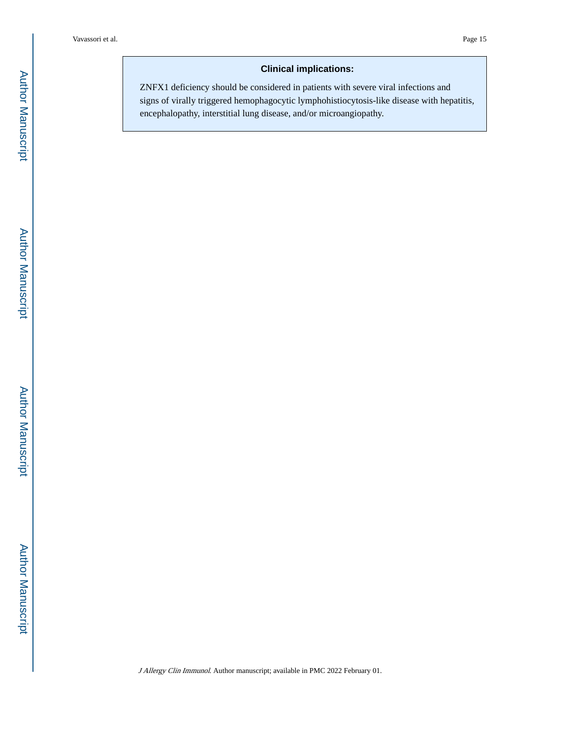## **Clinical implications:**

ZNFX1 deficiency should be considered in patients with severe viral infections and signs of virally triggered hemophagocytic lymphohistiocytosis-like disease with hepatitis, encephalopathy, interstitial lung disease, and/or microangiopathy.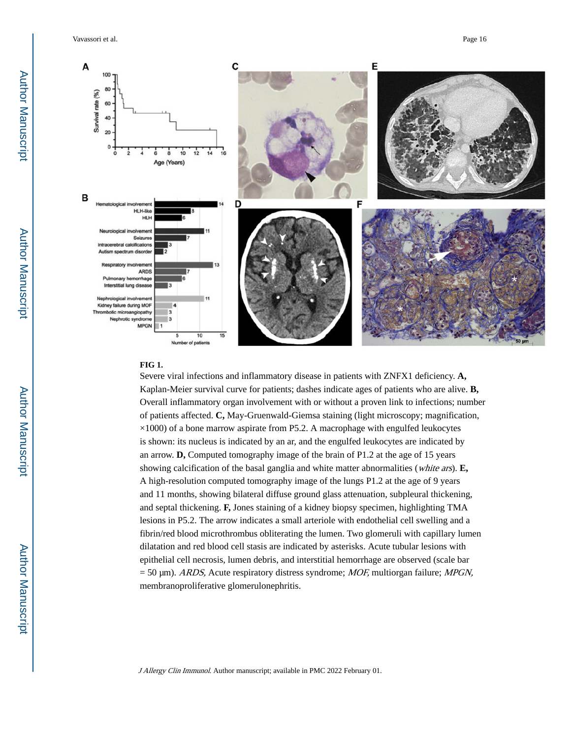Vavassori et al. Page 16



#### **FIG 1.**

Severe viral infections and inflammatory disease in patients with ZNFX1 deficiency. **A,**  Kaplan-Meier survival curve for patients; dashes indicate ages of patients who are alive. **B,**  Overall inflammatory organ involvement with or without a proven link to infections; number of patients affected. **C,** May-Gruenwald-Giemsa staining (light microscopy; magnification,  $\times$ 1000) of a bone marrow aspirate from P5.2. A macrophage with engulfed leukocytes is shown: its nucleus is indicated by an ar, and the engulfed leukocytes are indicated by an arrow. **D,** Computed tomography image of the brain of P1.2 at the age of 15 years showing calcification of the basal ganglia and white matter abnormalities (white ars). **E,**  A high-resolution computed tomography image of the lungs P1.2 at the age of 9 years and 11 months, showing bilateral diffuse ground glass attenuation, subpleural thickening, and septal thickening. **F,** Jones staining of a kidney biopsy specimen, highlighting TMA lesions in P5.2. The arrow indicates a small arteriole with endothelial cell swelling and a fibrin/red blood microthrombus obliterating the lumen. Two glomeruli with capillary lumen dilatation and red blood cell stasis are indicated by asterisks. Acute tubular lesions with epithelial cell necrosis, lumen debris, and interstitial hemorrhage are observed (scale bar  $= 50 \text{ µm}$ ). ARDS, Acute respiratory distress syndrome; MOF, multiorgan failure; MPGN, membranoproliferative glomerulonephritis.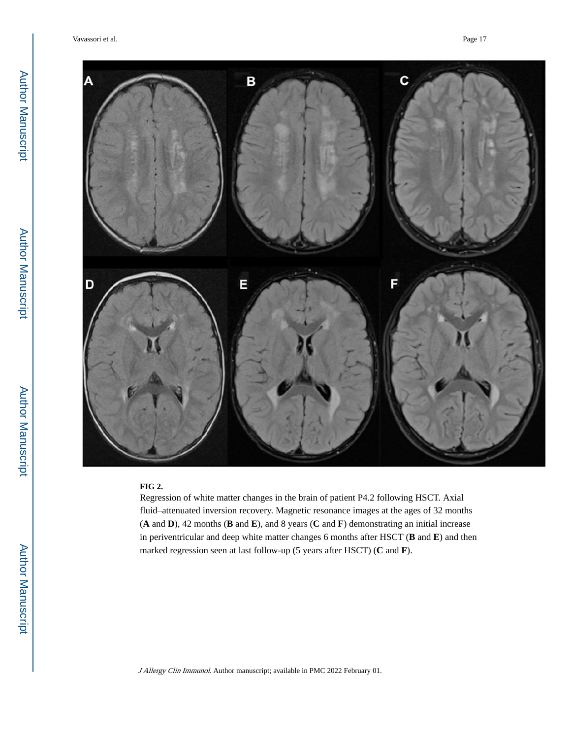Vavassori et al. Page 17



#### **FIG 2.**

Regression of white matter changes in the brain of patient P4.2 following HSCT. Axial fluid–attenuated inversion recovery. Magnetic resonance images at the ages of 32 months (**A** and **D**), 42 months (**B** and **E**), and 8 years (**C** and **F**) demonstrating an initial increase in periventricular and deep white matter changes 6 months after HSCT (**B** and **E**) and then marked regression seen at last follow-up (5 years after HSCT) (**C** and **F**).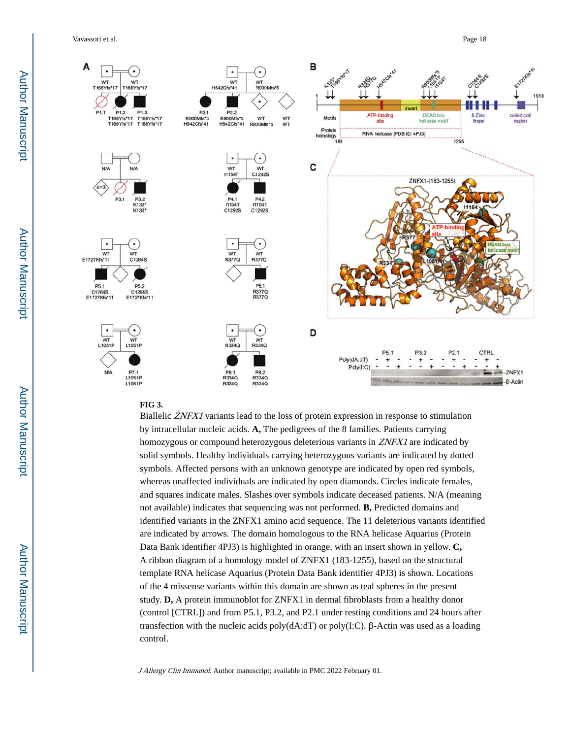Vavassori et al. Page 18



#### **FIG 3.**

Biallelic ZNFX1 variants lead to the loss of protein expression in response to stimulation by intracellular nucleic acids. **A,** The pedigrees of the 8 families. Patients carrying homozygous or compound heterozygous deleterious variants in ZNFX1 are indicated by solid symbols. Healthy individuals carrying heterozygous variants are indicated by dotted symbols. Affected persons with an unknown genotype are indicated by open red symbols, whereas unaffected individuals are indicated by open diamonds. Circles indicate females, and squares indicate males. Slashes over symbols indicate deceased patients. N/A (meaning not available) indicates that sequencing was not performed. **B,** Predicted domains and identified variants in the ZNFX1 amino acid sequence. The 11 deleterious variants identified are indicated by arrows. The domain homologous to the RNA helicase Aquarius (Protein Data Bank identifier 4PJ3) is highlighted in orange, with an insert shown in yellow. **C,**  A ribbon diagram of a homology model of ZNFX1 (183-1255), based on the structural template RNA helicase Aquarius (Protein Data Bank identifier 4PJ3) is shown. Locations of the 4 missense variants within this domain are shown as teal spheres in the present study. **D,** A protein immunoblot for ZNFX1 in dermal fibroblasts from a healthy donor (control [CTRL]) and from P5.1, P3.2, and P2.1 under resting conditions and 24 hours after transfection with the nucleic acids poly(dA:dT) or poly(I:C). β-Actin was used as a loading control.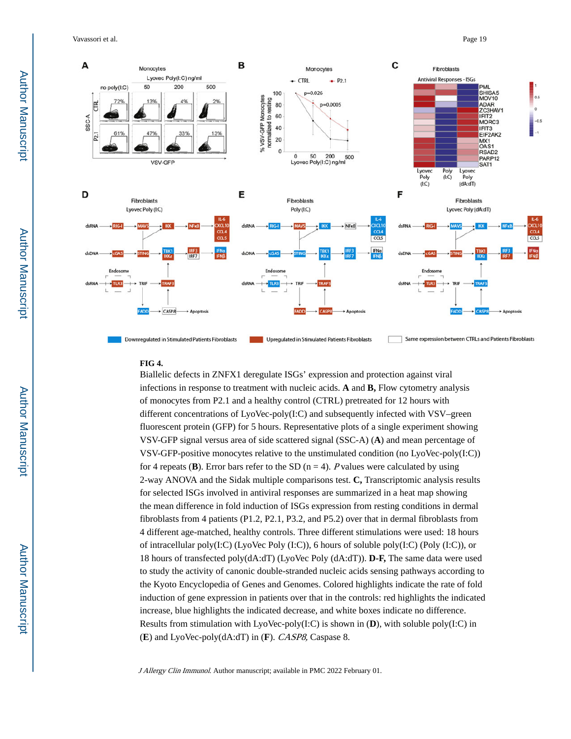Vavassori et al. Page 19



#### **FIG 4.**

Biallelic defects in ZNFX1 deregulate ISGs' expression and protection against viral infections in response to treatment with nucleic acids. **A** and **B,** Flow cytometry analysis of monocytes from P2.1 and a healthy control (CTRL) pretreated for 12 hours with different concentrations of  $LyoVec-poly(I:C)$  and subsequently infected with  $VSV$ –green fluorescent protein (GFP) for 5 hours. Representative plots of a single experiment showing VSV-GFP signal versus area of side scattered signal (SSC-A) (**A**) and mean percentage of VSV-GFP-positive monocytes relative to the unstimulated condition (no LyoVec-poly(I:C)) for 4 repeats (**B**). Error bars refer to the SD ( $n = 4$ ). *P* values were calculated by using 2-way ANOVA and the Sidak multiple comparisons test. **C,** Transcriptomic analysis results for selected ISGs involved in antiviral responses are summarized in a heat map showing the mean difference in fold induction of ISGs expression from resting conditions in dermal fibroblasts from 4 patients (P1.2, P2.1, P3.2, and P5.2) over that in dermal fibroblasts from 4 different age-matched, healthy controls. Three different stimulations were used: 18 hours of intracellular poly $(I:C)$  (LyoVec Poly  $(I:C)$ ), 6 hours of soluble poly $(I:C)$  (Poly  $(I:C)$ ), or 18 hours of transfected poly(dA:dT) (LyoVec Poly (dA:dT)). **D-F,** The same data were used to study the activity of canonic double-stranded nucleic acids sensing pathways according to the Kyoto Encyclopedia of Genes and Genomes. Colored highlights indicate the rate of fold induction of gene expression in patients over that in the controls: red highlights the indicated increase, blue highlights the indicated decrease, and white boxes indicate no difference. Results from stimulation with LyoVec-poly(I:C) is shown in (**D**), with soluble poly(I:C) in (**E**) and LyoVec-poly(dA:dT) in (**F**). CASP8, Caspase 8.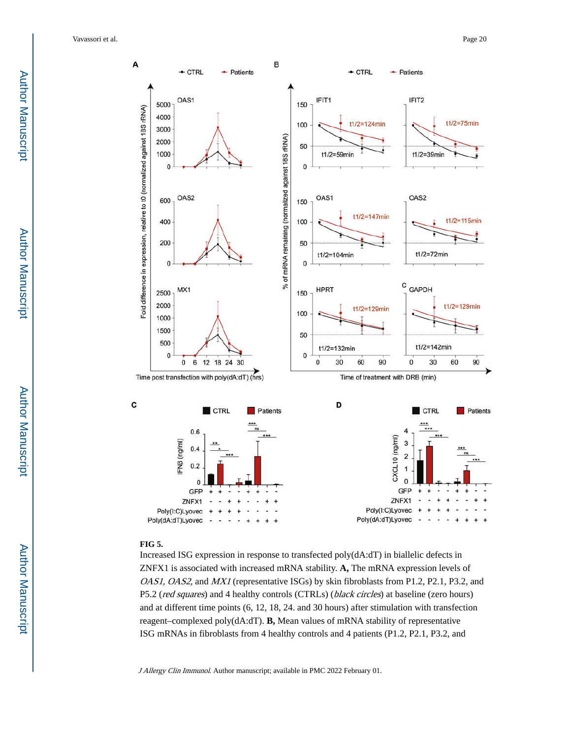Vavassori et al. Page 20



#### **FIG 5.**

Increased ISG expression in response to transfected poly(dA:dT) in biallelic defects in ZNFX1 is associated with increased mRNA stability. **A,** The mRNA expression levels of OAS1, OAS2, and MX1 (representative ISGs) by skin fibroblasts from P1.2, P2.1, P3.2, and P5.2 (red squares) and 4 healthy controls (CTRLs) (black circles) at baseline (zero hours) and at different time points (6, 12, 18, 24. and 30 hours) after stimulation with transfection reagent–complexed poly(dA:dT). **B,** Mean values of mRNA stability of representative ISG mRNAs in fibroblasts from 4 healthy controls and 4 patients (P1.2, P2.1, P3.2, and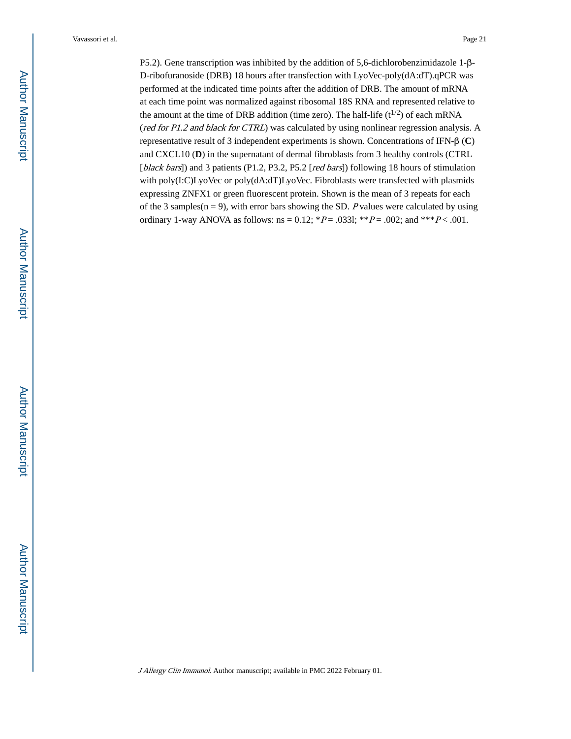P5.2). Gene transcription was inhibited by the addition of 5,6-dichlorobenzimidazole 1-β-D-ribofuranoside (DRB) 18 hours after transfection with LyoVec-poly(dA:dT).qPCR was performed at the indicated time points after the addition of DRB. The amount of mRNA at each time point was normalized against ribosomal 18S RNA and represented relative to the amount at the time of DRB addition (time zero). The half-life  $(t^{1/2})$  of each mRNA (red for P1.2 and black for CTRL) was calculated by using nonlinear regression analysis. A representative result of 3 independent experiments is shown. Concentrations of IFN-β (**C**) and CXCL10 (**D**) in the supernatant of dermal fibroblasts from 3 healthy controls (CTRL [black bars]) and 3 patients (P1.2, P3.2, P5.2 [red bars]) following 18 hours of stimulation with poly(I:C)LyoVec or poly(dA:dT)LyoVec. Fibroblasts were transfected with plasmids expressing ZNFX1 or green fluorescent protein. Shown is the mean of 3 repeats for each of the 3 samples( $n = 9$ ), with error bars showing the SD. P values were calculated by using ordinary 1-way ANOVA as follows:  $ns = 0.12$ ;  $*P = .0331$ ;  $*P = .002$ ; and  $*P < .001$ .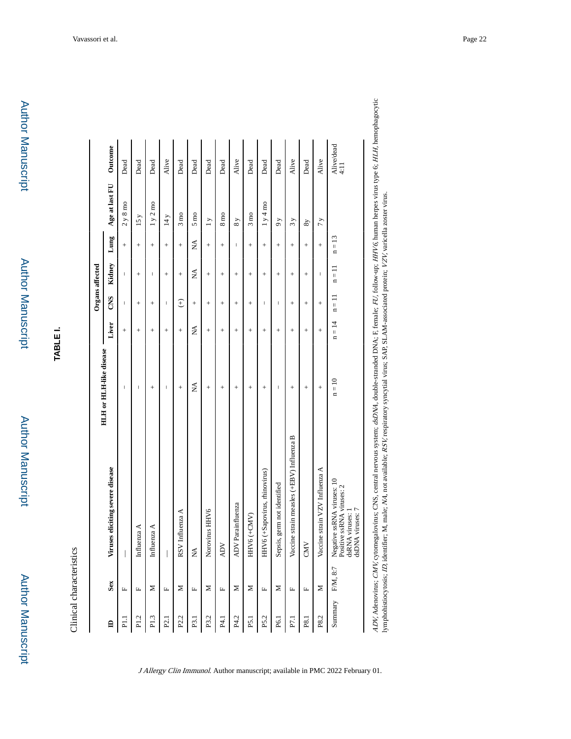Author Manuscript

**TABLE I.**

Clinical characteristics Clinical characteristics

|                                | Outcome                          | Dead           | Dead           | Dead        | Alive          | Dead            | Dead           | Dead           | Dead            | Alive             | Dead           | Dead                          | Dead                        | Alive                                     | Dead           | Alive                          | Alive/dead<br>4:11                                                                            |
|--------------------------------|----------------------------------|----------------|----------------|-------------|----------------|-----------------|----------------|----------------|-----------------|-------------------|----------------|-------------------------------|-----------------------------|-------------------------------------------|----------------|--------------------------------|-----------------------------------------------------------------------------------------------|
|                                | Age at last FU                   | $2y8$ mo       | 15y            | 1 y 2 m     | 14 y           | $3 \text{ mo}$  | $5 \text{ mo}$ | $\overline{1}$ | $8 \text{ m}$   | 8y                | $3 \text{ mo}$ | 1y4m                          | $\delta$                    | 3y                                        | 8y             | 7y                             |                                                                                               |
|                                | Lung                             | $^{+}$         | $^{+}$         | $^{+}$      | $^{+}$         | $^{+}$          | Ź              | $^{+}$         | $^{+}$          | I                 | $^{+}$         | $^{+}$                        | $^{+}$                      | $^{+}$                                    | $^{+}$         | $^{+}$                         | $n = 13$                                                                                      |
|                                | Kidney                           | I              | $^{+}$         | $\sf I$     | $^{+}$         | $^{+}$          | ≸              | $^{+}$         | $^{+}$          | $^{+}$            | $^{+}$         | $^{+}$                        | $^{+}$                      | $^{+}$                                    | $^{+}$         | I                              | $n = 11$                                                                                      |
| <b>Organs</b> affected         | CNS                              | I              | $^{+}$         | $^{+}$      | I              | $\widehat{f}$   | $^{+}$         | $^{+}$         | $^{+}$          | $^{+}$            | $^{+}$         | I                             | I                           | $^{+}$                                    | $^{+}$         | $^{+}$                         | $n = 11$                                                                                      |
|                                | Liver                            | $^{+}$         | $^{+}$         | $^{+}$      | $^{+}$         | $^{+}$          | Ź              | $^{+}$         | $^{+}$          | $^{+}$            | $^{+}$         | $^{+}$                        | $^{+}$                      | $^{+}$                                    | $^{+}$         | $^{+}$                         | $n = 14$                                                                                      |
| <b>HLH</b> or HLH-like disease |                                  | I              | I              | $^{+}$      | I              | $^{+}$          | ≸              | $^{+}$         | $^{+}$          | $^{+}$            | $^{+}$         | $^{+}$                        | I                           | $^{+}$                                    | $^{+}$         | $^{+}$                         | $n = 10$                                                                                      |
|                                | Viruses eliciting severe disease |                | Influenza A    | Influenza A |                | RSV Influenza A | É              | Norovirus HHV6 | <b>ADV</b>      | ADV Parainfluenza | HHV6 (+CMV)    | HHV6 (+Sapovirus, rhinovirus) | Sepsis, germ not identified | Vaccine strain measles (+EBV) Influenza B | CMV            | Vaccine strain VZV Influenza A | Negative ssRNA viruses: 10<br>Positive ssRNA viruses: 2<br>dsDNA viruses: 7<br>dsRNA viruses: |
|                                | Sex                              | $ \mathbf{L} $ | $\mathbf{L}_1$ | Σ           | $\mathbb{L}_+$ | $\geq$          | $\mathbf{L}_1$ | $\mathbf{z}$   | $E \mid \Sigma$ |                   | Σ              | $\mathbb{L}$                  | $\geq$                      | $\mathbf{L}_1$                            | $\mathbf{L}_1$ | $\geq$                         |                                                                                               |
|                                | $\mathbf{a}$                     |                | P1.2           | P1.3        |                | P2.2            | $E_{1}$        | P3.2           | P4.1            | P4.2              | <b>P5.1</b>    | P5.2                          | P6.1                        | $E_{1}$                                   |                | P8.2                           | Summary F/M, 8:7                                                                              |

J Allergy Clin Immunol. Author manuscript; available in PMC 2022 February 01.

ADV, Adenovirus; CMV, cytomegalovirus; CNS, central nervous system; dsDNA, double-stranded DNA; F, female; FU, follow-up; HHV6, human herpes virus type 6; HLH, hemophagocytic<br>lymphohistiocytosis; ID, identifier; M, male; N ADV, Adenovirus; CMV, cytomegalovirus; CNS, central nervous system; dsDNA, double-stranded DNA; F, female; FU, follow-up; HHV6, human herpes virus type 6; HLH, hemophagocytic lymphohistiocytosis; ID, identifier; M, male; NA, not available; RSV, respiratory syncytial virus; SAP, SLAM-associated protein; VZV, varicella zoster virus.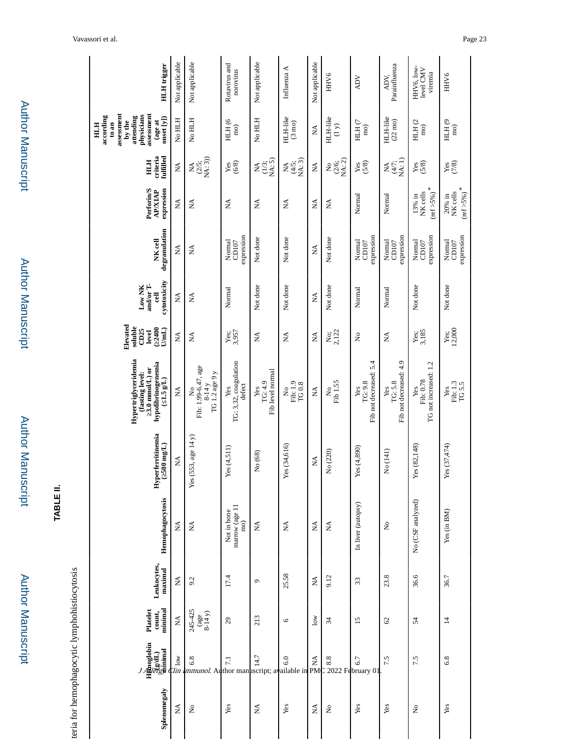| Splenomegaly                    | J<br>H<br><br><br><br><br><br><br><br><br><br><br><br><br><br><br><br><br><br><br><br><br><br><br><br><br><br><br><br><br><br><br><br>$\begin{smallmatrix}\begin{smallmatrix}1\end{smallmatrix}\end{smallmatrix}$ | minimal<br>Platelet<br>count,                                                      | Leukocytes,<br>maximal | Hemophagocytosis                     | <b>Hyperferritinemia</b><br>$500$ mg/L) | Hypertriglyceridemia<br>hypofibrinogenemia<br>3.0 mmol/L) or<br>fasting level:<br>$(1.5 \text{ g/L})$ | Elevated<br>soluble<br>$\frac{2400}{U(mL)}$<br>CD25<br>level | cytotoxicity<br>and/or T-<br>Low NK<br>링 | degranulation<br>NK cell      | Perforin/S<br>expression<br><b>AP/XIAP</b>       | criteria<br>fulfilled<br>HIH    | assessment<br>assessment<br>physicians<br>according<br>attending<br>onset $[y]$<br>by the<br>(age at<br>$t_0$ an<br>HTH | <b>HLH</b> trigger                 |
|---------------------------------|-------------------------------------------------------------------------------------------------------------------------------------------------------------------------------------------------------------------|------------------------------------------------------------------------------------|------------------------|--------------------------------------|-----------------------------------------|-------------------------------------------------------------------------------------------------------|--------------------------------------------------------------|------------------------------------------|-------------------------------|--------------------------------------------------|---------------------------------|-------------------------------------------------------------------------------------------------------------------------|------------------------------------|
| $\boldsymbol{\hat{\mathsf{z}}}$ | $\frac{3}{\sqrt{2}}$                                                                                                                                                                                              | ≸                                                                                  | ≸                      | Ź                                    | $\stackrel{\triangle}{\approx}$         | ≸                                                                                                     | $\tilde{\mathbf{z}}$                                         | $\boldsymbol{\Sigma}$                    | ≸                             | Á                                                | ≸                               | No HLH                                                                                                                  | Not applicable                     |
| $\tilde{z}$                     | $\begin{bmatrix} \infty \\ \infty \end{bmatrix}$ $\begin{bmatrix} \infty \\ \infty \end{bmatrix}$ $\begin{bmatrix} \infty \\ \infty \\ \infty \end{bmatrix}$ available in                                         | 245-425<br>$\begin{array}{c} \n \text{(age)} \\ \n 8-14 \text{ y)} \n \end{array}$ | 9.2                    | Ź                                    | 53, age 14 y)<br>Yes(5)                 | Fib: 1.99-6.47, age<br>TG 1.2 age 9 y<br>$8-14y$<br>Ş                                                 | $\boldsymbol{\Sigma}$                                        | $\boldsymbol{\hat{\mathsf{z}}}$          | $\mathbb{X}$                  | $\boldsymbol{\Sigma}$                            | $M_{(2/5; N_{(1, 3)})}^{NA}$    | No HLH                                                                                                                  | Not applicable                     |
| Yes                             |                                                                                                                                                                                                                   | 29                                                                                 | 17.4                   | marrow (age 11<br>Not in bone<br>mo) | Yes(4, 511)                             | TG: 3,32, coagulation<br>defect<br>Yes                                                                | 3,957<br>Yes;                                                | Normal                                   | expression<br>Normal<br>CD107 | $\mathbb{Z}^2$                                   | (6/8)<br>Yes                    | HLH (6<br>$\overline{m}$                                                                                                | Rotavirus and<br>norovirus         |
| Ź                               |                                                                                                                                                                                                                   | 213                                                                                | G                      | Ź                                    | No (68)                                 | Fib level normal<br>TG: 4.9<br>Yes                                                                    | $\mathbb{E}$                                                 | Not done                                 | Not done                      | ₹                                                | $(1/3;$<br>NA: 5)<br>₹          | No HLH                                                                                                                  | Not applicable                     |
| Yes                             |                                                                                                                                                                                                                   | $\circ$                                                                            | 25.58                  | ≵                                    | Yes (34,616)                            | Fib: 1.9<br>$TG0.8$<br>Σò                                                                             | $\mathbb{E}$                                                 | Not done                                 | Not done                      | Ź                                                | NA: 3)<br>(4/5;<br>Ź            | HLH-like<br>$(3 \text{ mo})$                                                                                            | Influenza A                        |
| $\lessapprox$                   | $\underset{\text{PM}}{\lessapprox}$                                                                                                                                                                               | $\overline{\text{low}}$                                                            | $\lessgtr$             | $\lessapprox$                        | $\lessapprox$                           | ≸                                                                                                     | $\boldsymbol{\Sigma}$                                        | Ş                                        | $\boldsymbol{\Sigma}$         | $\mathbb{Z}$                                     | $\boldsymbol{\Sigma}$           | $\boldsymbol{\hat{\mathsf{z}}}$                                                                                         | Not applicable                     |
| $\mathsf{S}^{\mathsf{o}}$       |                                                                                                                                                                                                                   | 34                                                                                 | 9.12                   | $\mathbb{E}$                         | No (220)                                | Fib 1.55<br>Ş                                                                                         | $\frac{N_{0}}{2,122}$                                        | Not done                                 | Not done                      | $\mathbb{E}$                                     | $(2/6;$ NA: 2)<br>$\frac{1}{2}$ | HLH-like<br>$\binom{y}{x}$                                                                                              | HHV <sub>6</sub>                   |
| Yes                             | $\begin{array}{c} \n\infty \\ \infty \\ 2022 \text{ February 01}\n\end{array}$                                                                                                                                    | $\overline{15}$                                                                    | 33                     | In liver (autopsy)                   | Yes(4,890)                              | Fib not decreased: 5.4<br>TG: 9.8<br>Yes                                                              | $\frac{1}{2}$                                                | Normal                                   | expression<br>Normal<br>CD107 | Normal                                           | yes<br>(5/8)                    | $HHH$ (7 $\,$<br>$\overline{m}$                                                                                         | <b>ADV</b>                         |
| Yes                             | 7.5                                                                                                                                                                                                               | $\mathcal{C}$                                                                      | 23.8                   | $\tilde{z}$                          | No (141)                                | Fib not decreased: 4.9<br>TG: 5.8<br>Yes                                                              | $\boldsymbol{\hat{\Sigma}}$                                  | Normal                                   | expression<br>Normal<br>CD107 | Normal                                           | <b>AA</b><br>(4/7;<br>NA: 1)    | HLH-like<br>$(22 \text{ mo})$                                                                                           | Parainfluenza<br>ADV.              |
| $\mathsf{S}^{\mathsf{o}}$       | 7.5                                                                                                                                                                                                               | 54                                                                                 | 36.6                   | No (CSF analyzed)                    | Yes (82,148)                            | TG not increased: 1.2<br>Fib: 0.78<br>Yes                                                             | $Y_{6S}$ ;<br>$3,185$                                        | Not done                                 | expression<br>Normal<br>CD107 | $(\mbox{ref} >\!5\%)^*$<br>NK cells<br>13% in    | (5/8)<br>Yes                    | HLH <sub>(2</sub><br>$\overline{\text{mo}}$                                                                             | HHV6, low-<br>level CMV<br>viremia |
| Yes                             | 6.8                                                                                                                                                                                                               | $\overline{4}$                                                                     | 36.7                   | Yes (in BM)                          | Yes(37, 474)                            | Fib: 1.3<br>TG 5.5<br>Yes                                                                             | $\frac{\text{Yes}}{12,000}$                                  | Not done                                 | expression<br>Normal<br>CD107 | $(\mbox{ref} >\!5\%)$ *<br>NK cells<br>$20\%$ in | $\frac{\text{Yes}}{\text{7/8}}$ | HLH <sub>(9</sub><br>$\mathbf{m}\mathbf{o}$                                                                             | HHV6                               |

Author Manuscript

**Author Manuscript** 

**TABLE II.**

teria for hemophagocytic lymphohistiocytosis

teria for hemophagocytic lymphohistiocytosis